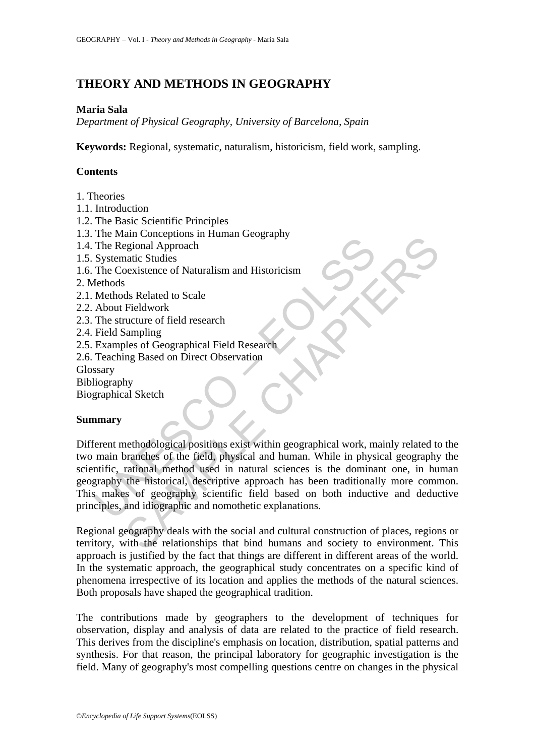# **THEORY AND METHODS IN GEOGRAPHY**

## **Maria Sala**

*Department of Physical Geography, University of Barcelona, Spain* 

**Keywords:** Regional, systematic, naturalism, historicism, field work, sampling.

# **Contents**

- 1. Theories
- 1.1. Introduction
- 1.2. The Basic Scientific Principles
- 1.3. The Main Conceptions in Human Geography
- 1.4. The Regional Approach
- 1.5. Systematic Studies
- 1.6. The Coexistence of Naturalism and Historicism
- 2. Methods
- 2.1. Methods Related to Scale
- 2.2. About Fieldwork
- 2.3. The structure of field research
- 2.4. Field Sampling
- 2.5. Examples of Geographical Field Research
- 2.6. Teaching Based on Direct Observation

**Glossary** 

- Bibliography
- Biographical Sketch

# **Summary**

The Regional Approach<br>
The Regional Approach<br>
Systematic Studies<br>
The Regional Approach<br>
Systematic Studies<br>
Reconsistence of Naturalism and Historicism<br>
Eethods<br>
Methods Related to Scale<br>
About Fieldwork<br>
The structure of and Conceptions in Historicism<br>
Segional Approach<br>
State Studies<br>
State Studies<br>
State Studies<br>
State Studies<br>
State Studies<br>
State Studies<br>
State Studies<br>
State State of Field research<br>
Stampling<br>
State of Geographical Fi Different methodological positions exist within geographical work, mainly related to the two main branches of the field, physical and human. While in physical geography the scientific, rational method used in natural sciences is the dominant one, in human geography the historical, descriptive approach has been traditionally more common. This makes of geography scientific field based on both inductive and deductive principles, and idiographic and nomothetic explanations.

Regional geography deals with the social and cultural construction of places, regions or territory, with the relationships that bind humans and society to environment. This approach is justified by the fact that things are different in different areas of the world. In the systematic approach, the geographical study concentrates on a specific kind of phenomena irrespective of its location and applies the methods of the natural sciences. Both proposals have shaped the geographical tradition.

The contributions made by geographers to the development of techniques for observation, display and analysis of data are related to the practice of field research. This derives from the discipline's emphasis on location, distribution, spatial patterns and synthesis. For that reason, the principal laboratory for geographic investigation is the field. Many of geography's most compelling questions centre on changes in the physical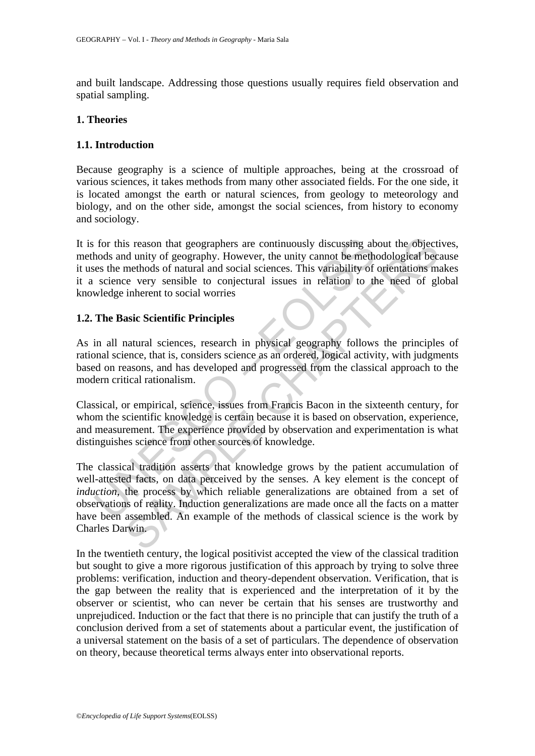and built landscape. Addressing those questions usually requires field observation and spatial sampling.

#### **1. Theories**

### **1.1. Introduction**

Because geography is a science of multiple approaches, being at the crossroad of various sciences, it takes methods from many other associated fields. For the one side, it is located amongst the earth or natural sciences, from geology to meteorology and biology, and on the other side, amongst the social sciences, from history to economy and sociology.

for this reason that geographers are continuously discussing ab<br>hods and unity of geography. However, the unity cannot be methet<br>es the methods of natural and social sciences. This variability of<br>science very sensible to c It is for this reason that geographers are continuously discussing about the objectives, methods and unity of geography. However, the unity cannot be methodological because it uses the methods of natural and social sciences. This variability of orientations makes it a science very sensible to conjectural issues in relation to the need of global knowledge inherent to social worries

### **1.2. The Basic Scientific Principles**

As in all natural sciences, research in physical geography follows the principles of rational science, that is, considers science as an ordered, logical activity, with judgments based on reasons, and has developed and progressed from the classical approach to the modern critical rationalism.

Classical, or empirical, science, issues from Francis Bacon in the sixteenth century, for whom the scientific knowledge is certain because it is based on observation, experience, and measurement. The experience provided by observation and experimentation is what distinguishes science from other sources of knowledge.

is reason that geographers are continuously discussing about the objectid unity of geography. However, the unity cannot be methodological because or natural and social sciences. This variability of orientations mindendos o The classical tradition asserts that knowledge grows by the patient accumulation of well-attested facts, on data perceived by the senses. A key element is the concept of *induction*, the process by which reliable generalizations are obtained from a set of observations of reality. Induction generalizations are made once all the facts on a matter have been assembled. An example of the methods of classical science is the work by Charles Darwin.

In the twentieth century, the logical positivist accepted the view of the classical tradition but sought to give a more rigorous justification of this approach by trying to solve three problems: verification, induction and theory-dependent observation. Verification, that is the gap between the reality that is experienced and the interpretation of it by the observer or scientist, who can never be certain that his senses are trustworthy and unprejudiced. Induction or the fact that there is no principle that can justify the truth of a conclusion derived from a set of statements about a particular event, the justification of a universal statement on the basis of a set of particulars. The dependence of observation on theory, because theoretical terms always enter into observational reports.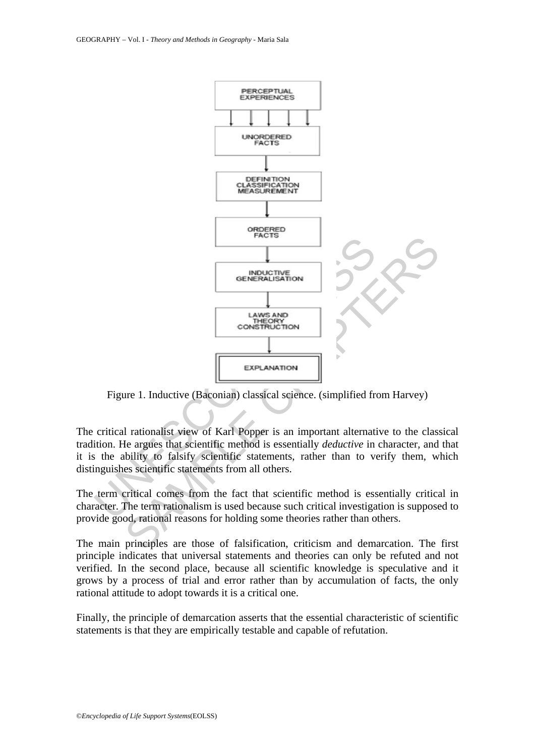

Figure 1. Inductive (Baconian) classical science. (simplified from Harvey)

The critical rationalist view of Karl Popper is an important alternative to the classical tradition. He argues that scientific method is essentially *deductive* in character, and that it is the ability to falsify scientific statements, rather than to verify them, which distinguishes scientific statements from all others.

The term critical comes from the fact that scientific method is essentially critical in character. The term rationalism is used because such critical investigation is supposed to provide good, rational reasons for holding some theories rather than others.

The main principles are those of falsification, criticism and demarcation. The first principle indicates that universal statements and theories can only be refuted and not verified. In the second place, because all scientific knowledge is speculative and it grows by a process of trial and error rather than by accumulation of facts, the only rational attitude to adopt towards it is a critical one.

Finally, the principle of demarcation asserts that the essential characteristic of scientific statements is that they are empirically testable and capable of refutation.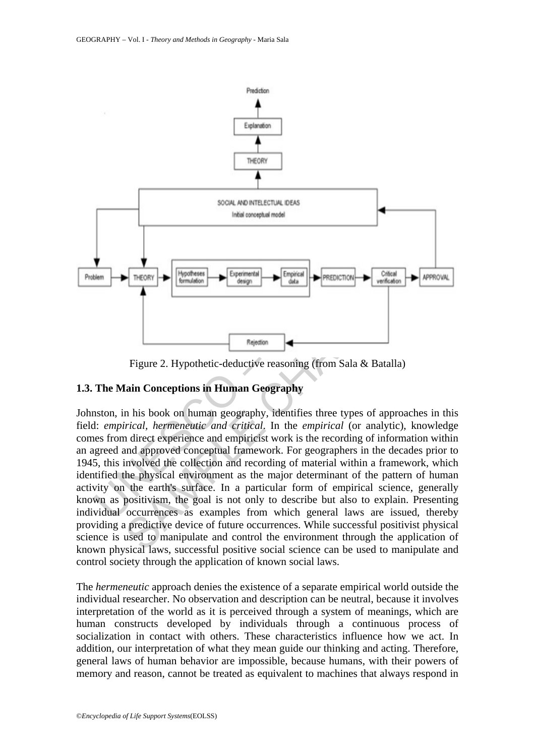

Figure 2. Hypothetic-deductive reasoning (from Sala & Batalla)

# **1.3. The Main Conceptions in Human Geography**

SAMPLE CHAPTERS Johnston, in his book on human geography, identifies three types of approaches in this field: *empirical, hermeneutic and critical*. In the *empirical* (or analytic), knowledge comes from direct experience and empiricist work is the recording of information within an agreed and approved conceptual framework. For geographers in the decades prior to 1945, this involved the collection and recording of material within a framework, which identified the physical environment as the major determinant of the pattern of human activity on the earth's surface. In a particular form of empirical science, generally known as positivism, the goal is not only to describe but also to explain. Presenting individual occurrences as examples from which general laws are issued, thereby providing a predictive device of future occurrences. While successful positivist physical science is used to manipulate and control the environment through the application of known physical laws, successful positive social science can be used to manipulate and control society through the application of known social laws.

The *hermeneutic* approach denies the existence of a separate empirical world outside the individual researcher. No observation and description can be neutral, because it involves interpretation of the world as it is perceived through a system of meanings, which are human constructs developed by individuals through a continuous process of socialization in contact with others. These characteristics influence how we act. In addition, our interpretation of what they mean guide our thinking and acting. Therefore, general laws of human behavior are impossible, because humans, with their powers of memory and reason, cannot be treated as equivalent to machines that always respond in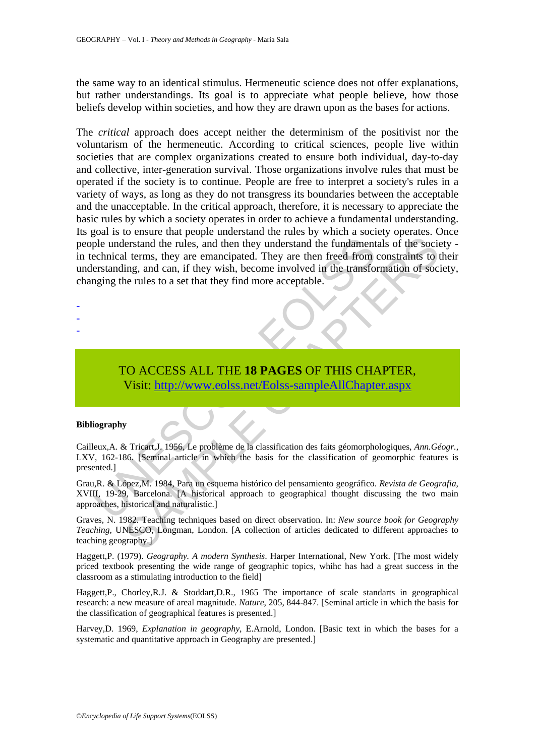the same way to an identical stimulus. Hermeneutic science does not offer explanations, but rather understandings. Its goal is to appreciate what people believe, how those beliefs develop within societies, and how they are drawn upon as the bases for actions.

The understand the rules, and then they understand the fundament<br>
echnical terms, they are emancipated. They are then freed from<br>
erstanding, and can, if they wish, become involved in the transfor-<br>
orging the rules to a s Ferstand the rules, and then they understand the fundamentals of the social terms, they are emancipated. They are then freed from constraints to the social terms, they are emancipated. They are then freed from constraints The *critical* approach does accept neither the determinism of the positivist nor the voluntarism of the hermeneutic. According to critical sciences, people live within societies that are complex organizations created to ensure both individual, day-to-day and collective, inter-generation survival. Those organizations involve rules that must be operated if the society is to continue. People are free to interpret a society's rules in a variety of ways, as long as they do not transgress its boundaries between the acceptable and the unacceptable. In the critical approach, therefore, it is necessary to appreciate the basic rules by which a society operates in order to achieve a fundamental understanding. Its goal is to ensure that people understand the rules by which a society operates. Once people understand the rules, and then they understand the fundamentals of the society in technical terms, they are emancipated. They are then freed from constraints to their understanding, and can, if they wish, become involved in the transformation of society, changing the rules to a set that they find more acceptable.

# TO ACCESS ALL THE **18 PAGES** OF THIS CHAPTER, Visit: http://www.eolss.net/Eolss-sampleAllChapter.aspx

#### **Bibliography**

- - -

Cailleux,A. & Tricart,J. 1956, Le problème de la classification des faits géomorphologiques, *Ann.Géogr.*, LXV, 162-186. [Seminal article in which the basis for the classification of geomorphic features is presented.]

Grau,R. & López,M. 1984, Para un esquema histórico del pensamiento geográfico. *Revista de Geografia*, XVIII, 19-29, Barcelona. [A historical approach to geographical thought discussing the two main approaches, historical and naturalistic.]

Graves, N. 1982. Teaching techniques based on direct observation. In: *New source book for Geography Teaching*, UNESCO, Longman, London. [A collection of articles dedicated to different approaches to teaching geography.]

Haggett,P. (1979). *Geography. A modern Synthesis*. Harper International, New York. [The most widely priced textbook presenting the wide range of geographic topics, whihc has had a great success in the classroom as a stimulating introduction to the field]

Haggett,P., Chorley,R.J. & Stoddart,D.R., 1965 The importance of scale standarts in geographical research: a new measure of areal magnitude. *Nature*, 205, 844-847. [Seminal article in which the basis for the classification of geographical features is presented.]

Harvey,D. 1969, *Explanation in geography*, E.Arnold, London. [Basic text in which the bases for a systematic and quantitative approach in Geography are presented.]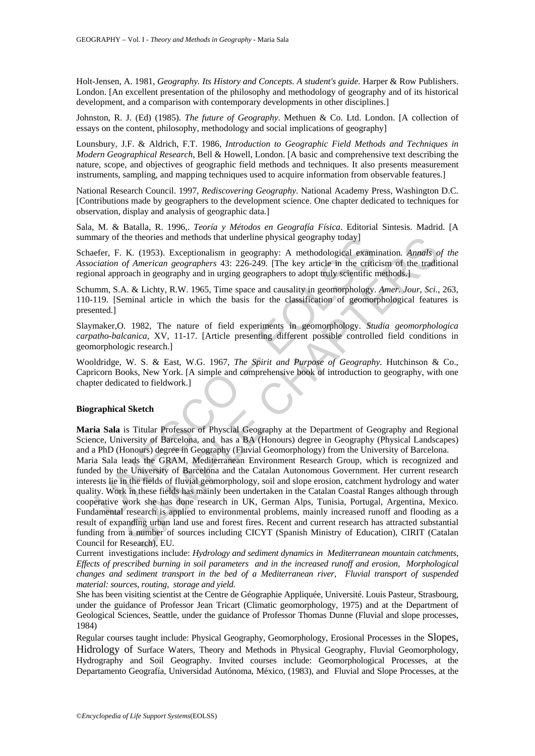Holt-Jensen, A. 1981, *Geography. Its History and Concepts. A student's guide.* Harper & Row Publishers. London. [An excellent presentation of the philosophy and methodology of geography and of its historical development, and a comparison with contemporary developments in other disciplines.]

Johnston, R. J. (Ed) (1985). *The future of Geography*. Methuen & Co. Ltd. London. [A collection of essays on the content, philosophy, methodology and social implications of geography]

Lounsbury, J.F. & Aldrich, F.T. 1986, *Introduction to Geographic Field Methods and Techniques in Modern Geographical Research*, Bell & Howell, London. [A basic and comprehensive text describing the nature, scope, and objectives of geographic field methods and techniques. It also presents measurement instruments, sampling, and mapping techniques used to acquire information from observable features.]

National Research Council. 1997, *Rediscovering Geography*. National Academy Press, Washington D.C. [Contributions made by geographers to the development science. One chapter dedicated to techniques for observation, display and analysis of geographic data.]

Sala, M. & Batalla, R. 1996,. *Teoría y Métodos en Geografía Física*. Editorial Sintesis. Madrid. [A summary of the theories and methods that underline physical geography today]

Schaefer, F. K. (1953). Exceptionalism in geography: A methodological examination*. Annals of the Association of American geographers* 43: 226-249. [The key article in the criticism of the traditional regional approach in geography and in urging geographers to adopt truly scientific methods.]

Schumm, S.A. & Lichty, R.W. 1965, Time space and causality in geomorphology. *Amer. Jour, Sci.*, 263, 110-119. [Seminal article in which the basis for the classification of geomorphological features is presented.]

Slaymaker,O. 1982, The nature of field experiments in geomorphology. *Studia geomorphologica carpatho-balcanica*, XV, 11-17. [Article presenting different possible controlled field conditions in geomorphologic research.]

Wooldridge, W. S. & East, W.G. 1967, *The Spirit and Purpose of Geography*. Hutchinson & Co., Capricorn Books, New York. [A simple and comprehensive book of introduction to geography, with one chapter dedicated to fieldwork.]

#### **Biographical Sketch**

**Maria Sala** is Titular Professor of Physcial Geography at the Department of Geography and Regional Science, University of Barcelona, and has a BA (Honours) degree in Geography (Physical Landscapes) and a PhD (Honours) degree in Geography (Fluvial Geomorphology) from the University of Barcelona.

mary of the theories and methods that underline physical geography today]<br>efer, F. K. (1953). Exceptionalism in goography: A methodological examinal approach in goography and in varging geographers to adopt truly scientifi the theories and methods that underline physical geography today]<br>
K. (1953). Exceptionalism in geography: A methodological examination. Amals of<br>  $f$  *Mmerican* geographers 43: 226-249. [The key article in the criticism Maria Sala leads the GRAM, Mediterranean Environment Research Group, which is recognized and funded by the University of Barcelona and the Catalan Autonomous Government. Her current research interests lie in the fields of fluvial geomorphology, soil and slope erosion, catchment hydrology and water quality. Work in these fields has mainly been undertaken in the Catalan Coastal Ranges although through cooperative work she has done research in UK, German Alps, Tunisia, Portugal, Argentina, Mexico. Fundamental research is applied to environmental problems, mainly increased runoff and flooding as a result of expanding urban land use and forest fires. Recent and current research has attracted substantial funding from a number of sources including CICYT (Spanish Ministry of Education), CIRIT (Catalan Council for Research), EU.

Current investigations include: *Hydrology and sediment dynamics in Mediterranean mountain catchments, Effects of prescribed burning in soil parameters and in the increased runoff and erosion, Morphological changes and sediment transport in the bed of a Mediterranean river, Fluvial transport of suspended material: sources, routing, storage and yield.* 

She has been visiting scientist at the Centre de Géographie Appliquée, Université. Louis Pasteur, Strasbourg, under the guidance of Professor Jean Tricart (Climatic geomorphology, 1975) and at the Department of Geological Sciences, Seattle, under the guidance of Professor Thomas Dunne (Fluvial and slope processes, 1984)

Regular courses taught include: Physical Geography, Geomorphology, Erosional Processes in the Slopes, Hidrology of Surface Waters, Theory and Methods in Physical Geography, Fluvial Geomorphology, Hydrography and Soil Geography. Invited courses include: Geomorphological Processes, at the Departamento Geografía, Universidad Autónoma, México, (1983), and Fluvial and Slope Processes, at the